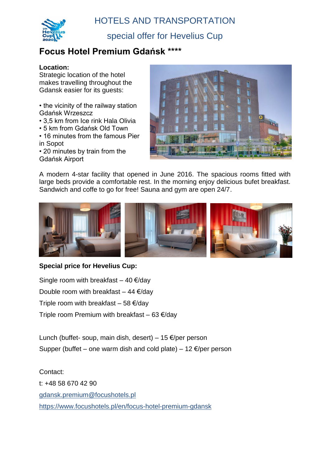HOTELS AND TRANSPORTATION



special offer for Hevelius Cup

### **Focus Hotel Premium Gdańsk \*\*\*\***

#### **Location:**

Strategic location of the hotel makes travelling throughout the Gdansk easier for its guests:

• the vicinity of the railway station Gdańsk Wrzeszcz

- 3,5 km from Ice rink Hala Olivia
- 5 km from Gdańsk Old Town
- 16 minutes from the famous Pier in Sopot

• 20 minutes by train from the Gdańsk Airport



A modern 4-star facility that opened in June 2016. The spacious rooms fitted with large beds provide a comfortable rest. In the morning enjoy delicious bufet breakfast. Sandwich and coffe to go for free! Sauna and gym are open 24/7.



#### **Special price for Hevelius Cup:**

Single room with breakfast  $-40 \text{ E/day}$ Double room with breakfast – 44  $\epsilon$ /day Triple room with breakfast – 58  $\epsilon$ /day Triple room Premium with breakfast – 63  $\epsilon$ /day

Lunch (buffet- soup, main dish, desert) – 15  $\epsilon$ /per person Supper (buffet – one warm dish and cold plate) – 12  $\epsilon$ /per person

Contact: t: +48 58 670 42 90 [gdansk.premium@focushotels.pl](mailto:gdansk.premium@focushotels.pl) <https://www.focushotels.pl/en/focus-hotel-premium-gdansk>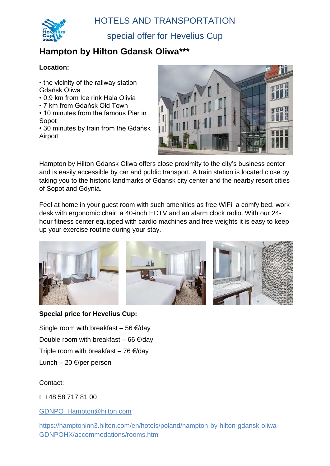

special offer for Hevelius Cup

# **Hampton by Hilton Gdansk Oliwa\*\*\***

### **Location:**

- the vicinity of the railway station Gdańsk Oliwa
- 0,9 km from Ice rink Hala Olivia
- 7 km from Gdańsk Old Town
- 10 minutes from the famous Pier in Sopot

• 30 minutes by train from the Gdańsk Airport



Hampton by Hilton Gdansk Oliwa offers close proximity to the city's business center and is easily accessible by car and public transport. A train station is located close by taking you to the historic landmarks of Gdansk city center and the nearby resort cities of Sopot and Gdynia.

Feel at home in your guest room with such amenities as free WiFi, a comfy bed, work desk with ergonomic chair, a 40-inch HDTV and an alarm clock radio. With our 24 hour fitness center equipped with cardio machines and free weights it is easy to keep up your exercise routine during your stay.



#### **Special price for Hevelius Cup:**

Single room with breakfast – 56  $\epsilon$ /day Double room with breakfast – 66  $\epsilon$ /day Triple room with breakfast – 76  $\epsilon$ /day Lunch – 20  $\epsilon$ /per person

### Contact:

t: +48 58 717 81 00

[GDNPO\\_Hampton@hilton.com](mailto:GDNPO_Hampton@hilton.com)

[https://hamptoninn3.hilton.com/en/hotels/poland/hampton-by-hilton-gdansk-oliwa-](https://hamptoninn3.hilton.com/en/hotels/poland/hampton-by-hilton-gdansk-oliwa-GDNPOHX/accommodations/rooms.html)[GDNPOHX/accommodations/rooms.html](https://hamptoninn3.hilton.com/en/hotels/poland/hampton-by-hilton-gdansk-oliwa-GDNPOHX/accommodations/rooms.html)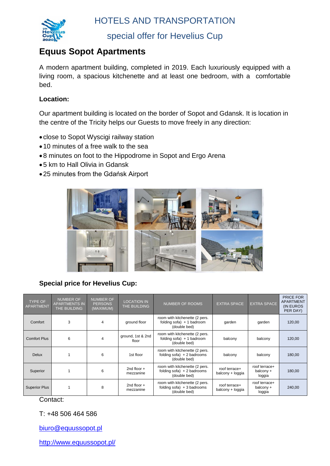

HOTELS AND TRANSPORTATION

special offer for Hevelius Cup

### **Equus Sopot Apartments**

A modern apartment building, completed in 2019. Each luxuriously equipped with a living room, a spacious kitchenette and at least one bedroom, with a comfortable bed.

#### **Location:**

Our apartment building is located on the border of Sopot and Gdansk. It is location in the centre of the Tricity helps our Guests to move freely in any direction:

- close to Sopot Wyscigi railway station
- 10 minutes of a free walk to the sea
- 8 minutes on foot to the Hippodrome in Sopot and Ergo Arena
- 5 km to Hall Olivia in Gdansk
- 25 minutes from the Gdańsk Airport



**Special price for Hevelius Cup:**

| <b>TYPE OF</b><br><b>APARTMENT</b> | <b>NUMBER OF</b><br><b>APARTMENTS IN</b><br>THE BUILDING | <b>NUMBER OF</b><br><b>PERSONS</b><br>(MAXIMUM) | <b>LOCATION IN</b><br>THE BUILDING | <b>NUMBER OF ROOMS</b>                                                          | <b>EXTRA SPACE</b>                | <b>EXTRA SPACE</b>                   | PRICE FOR<br><b>APARTMENT</b><br>(IN EUROS<br>PER DAY) |
|------------------------------------|----------------------------------------------------------|-------------------------------------------------|------------------------------------|---------------------------------------------------------------------------------|-----------------------------------|--------------------------------------|--------------------------------------------------------|
| Comfort                            | 3                                                        | 4                                               | ground floor                       | room with kitchenette (2 pers.<br>folding $sofa$ ) + 1 badroom<br>(double bed)  | garden                            | qarden                               | 120,00                                                 |
| <b>Comfort Plus</b>                | 6                                                        | 4                                               | ground, 1st & 2nd<br>floor         | room with kitchenette (2 pers.<br>folding $sofa$ ) + 1 badroom<br>(double bed)  | balcony                           | balcony                              | 120,00                                                 |
| <b>Delux</b>                       |                                                          | 6                                               | 1st floor                          | room with kitchenette (2 pers.<br>folding $sofa$ ) + 2 badrooms<br>(double bed) | balcony                           | balcony                              | 180,00                                                 |
| Superior                           |                                                          | 6                                               | 2nd floor $+$<br>mezzanine         | room with kitchenette (2 pers.<br>folding $sofa$ ) + 2 badrooms<br>(double bed) | roof terrace+<br>balcony + loggia | roof terrace+<br>balcony +<br>loggia | 180,00                                                 |
| <b>Superior Plus</b>               |                                                          | 8                                               | 2nd floor $+$<br>mezzanine         | room with kitchenette (2 pers.<br>folding $sofa$ ) + 3 badrooms<br>(double bed) | roof terrace+<br>balcony + loggia | roof terrace+<br>balcony +<br>loggia | 240,00                                                 |

Contact:

T: +48 506 464 586

[biuro@equussopot.pl](mailto:biuro@equussopot.pl)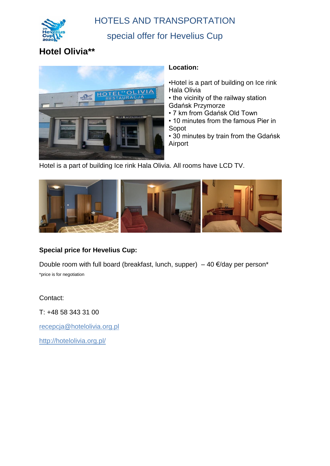

### HOTELS AND TRANSPORTATION

### special offer for Hevelius Cup

## **Hotel Olivia\*\***



#### **Location:**

•Hotel is a part of building on Ice rink Hala Olivia

- the vicinity of the railway station Gdańsk Przymorze
- 7 km from Gdańsk Old Town
- 10 minutes from the famous Pier in Sopot

• 30 minutes by train from the Gdańsk Airport

Hotel is a part of building Ice rink Hala Olivia. All rooms have LCD TV.



### **Special price for Hevelius Cup:**

Double room with full board (breakfast, lunch, supper) – 40  $\epsilon$ /day per person\* \*price is for negotiation

Contact:

T: +48 58 343 31 00

[recepcja@hotelolivia.org.pl](mailto:recepcja@hotelolivia.org.pl)

<http://hotelolivia.org.pl/>